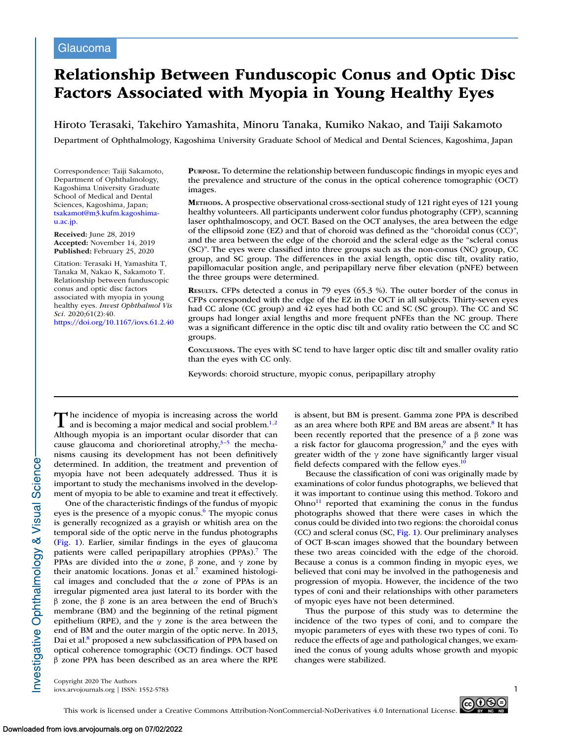# **Relationship Between Funduscopic Conus and Optic Disc Factors Associated with Myopia in Young Healthy Eyes**

Hiroto Terasaki, Takehiro Yamashita, Minoru Tanaka, Kumiko Nakao, and Taiji Sakamoto

Department of Ophthalmology, Kagoshima University Graduate School of Medical and Dental Sciences, Kagoshima, Japan

Correspondence: Taiji Sakamoto, Department of Ophthalmology, Kagoshima University Graduate School of Medical and Dental Sciences, Kagoshima, Japan; [tsakamot@m3.kufm.kagoshima](mailto:tsakamot@m3.kufm.kagoshima-u.ac.jp.)u.ac.jp.

**Received:** June 28, 2019 **Accepted:** November 14, 2019 **Published:** February 25, 2020

Citation: Terasaki H, Yamashita T, Tanaka M, Nakao K, Sakamoto T. Relationship between funduscopic conus and optic disc factors associated with myopia in young healthy eyes. *Invest Ophthalmol Vis Sci.* 2020;61(2):40. <https://doi.org/10.1167/iovs.61.2.40> **PURPOSE.** To determine the relationship between funduscopic findings in myopic eyes and the prevalence and structure of the conus in the optical coherence tomographic (OCT) images.

**METHODS.** A prospective observational cross-sectional study of 121 right eyes of 121 young healthy volunteers. All participants underwent color fundus photography (CFP), scanning laser ophthalmoscopy, and OCT. Based on the OCT analyses, the area between the edge of the ellipsoid zone (EZ) and that of choroid was defined as the "choroidal conus (CC)", and the area between the edge of the choroid and the scleral edge as the "scleral conus (SC)". The eyes were classified into three groups such as the non-conus (NC) group, CC group, and SC group. The differences in the axial length, optic disc tilt, ovality ratio, papillomacular position angle, and peripapillary nerve fiber elevation (pNFE) between the three groups were determined.

**RESULTS.** CFPs detected a conus in 79 eyes (65.3 %). The outer border of the conus in CFPs corresponded with the edge of the EZ in the OCT in all subjects. Thirty-seven eyes had CC alone (CC group) and 42 eyes had both CC and SC (SC group). The CC and SC groups had longer axial lengths and more frequent pNFEs than the NC group. There was a significant difference in the optic disc tilt and ovality ratio between the CC and SC groups.

**CONCLUSIONS.** The eyes with SC tend to have larger optic disc tilt and smaller ovality ratio than the eyes with CC only.

Keywords: choroid structure, myopic conus, peripapillary atrophy

The incidence of myopia is increasing across the world and is becoming a major medical and social problem. $1,2$ Although myopia is an important ocular disorder that can cause glaucoma and chorioretinal atrophy, $3-5$  the mechanisms causing its development has not been definitively determined. In addition, the treatment and prevention of myopia have not been adequately addressed. Thus it is important to study the mechanisms involved in the development of myopia to be able to examine and treat it effectively.

One of the characteristic findings of the fundus of myopic eyes is the presence of a myopic conus. $6$  The myopic conus is generally recognized as a grayish or whitish area on the temporal side of the optic nerve in the fundus photographs [\(Fig. 1\)](#page-1-0). Earlier, similar findings in the eyes of glaucoma patients were called peripapillary atrophies (PPAs).<sup>7</sup> The PPAs are divided into the  $\alpha$  zone,  $\beta$  zone, and  $\gamma$  zone by their anatomic locations. Jonas et al.<sup>7</sup> examined histological images and concluded that the  $\alpha$  zone of PPAs is an irregular pigmented area just lateral to its border with the β zone, the β zone is an area between the end of Bruch's membrane (BM) and the beginning of the retinal pigment epithelium (RPE), and the  $\gamma$  zone is the area between the end of BM and the outer margin of the optic nerve. In 2013, Dai et al.<sup>8</sup> proposed a new subclassification of PPA based on optical coherence tomographic (OCT) findings. OCT based β zone PPA has been described as an area where the RPE

is absent, but BM is present. Gamma zone PPA is described as an area where both RPE and BM areas are absent.<sup>8</sup> It has been recently reported that the presence of a β zone was a risk factor for glaucoma progression,<sup>9</sup> and the eyes with greater width of the γ zone have significantly larger visual field defects compared with the fellow eyes.<sup>10</sup>

Because the classification of coni was originally made by examinations of color fundus photographs, we believed that it was important to continue using this method. Tokoro and  $Ohno<sup>11</sup>$  reported that examining the conus in the fundus photographs showed that there were cases in which the conus could be divided into two regions: the choroidal conus (CC) and scleral conus (SC, [Fig. 1\)](#page-1-0). Our preliminary analyses of OCT B-scan images showed that the boundary between these two areas coincided with the edge of the choroid. Because a conus is a common finding in myopic eyes, we believed that coni may be involved in the pathogenesis and progression of myopia. However, the incidence of the two types of coni and their relationships with other parameters of myopic eyes have not been determined.

Thus the purpose of this study was to determine the incidence of the two types of coni, and to compare the myopic parameters of eyes with these two types of coni. To reduce the effects of age and pathological changes, we examined the conus of young adults whose growth and myopic changes were stabilized.

Copyright 2020 The Authors iovs.arvojournals.org | ISSN: 1552-5783 1



This work is licensed under a Creative Commons Attribution-NonCommercial-NoDerivatives 4.0 International License.

nvestigative Ophthalmology & Visual Science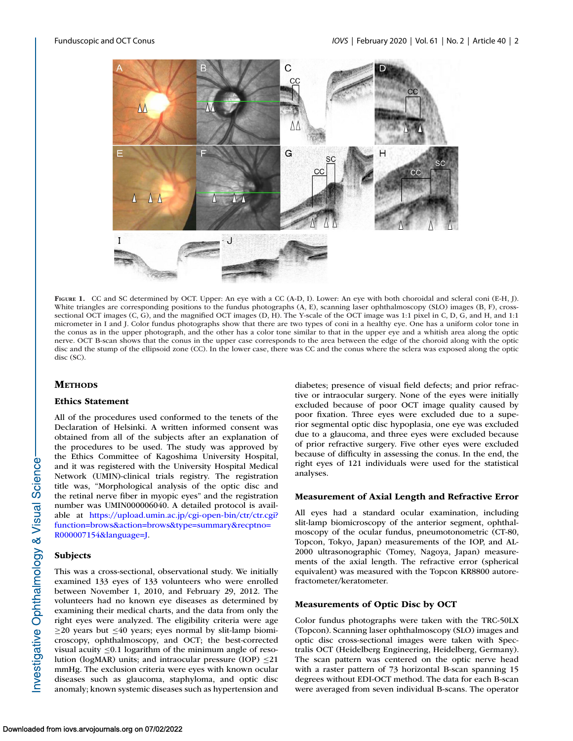<span id="page-1-0"></span>

FIGURE 1. CC and SC determined by OCT. Upper: An eye with a CC (A-D, I). Lower: An eye with both choroidal and scleral coni (E-H, J). White triangles are corresponding positions to the fundus photographs (A, E), scanning laser ophthalmoscopy (SLO) images (B, F), crosssectional OCT images (C, G), and the magnified OCT images (D, H). The Y-scale of the OCT image was 1:1 pixel in C, D, G, and H, and 1:1 micrometer in I and J. Color fundus photographs show that there are two types of coni in a healthy eye. One has a uniform color tone in the conus as in the upper photograph, and the other has a color tone similar to that in the upper eye and a whitish area along the optic nerve. OCT B-scan shows that the conus in the upper case corresponds to the area between the edge of the choroid along with the optic disc and the stump of the ellipsoid zone (CC). In the lower case, there was CC and the conus where the sclera was exposed along the optic disc (SC).

# **METHODS**

#### **Ethics Statement**

All of the procedures used conformed to the tenets of the Declaration of Helsinki. A written informed consent was obtained from all of the subjects after an explanation of the procedures to be used. The study was approved by the Ethics Committee of Kagoshima University Hospital, and it was registered with the University Hospital Medical Network (UMIN)-clinical trials registry. The registration title was, "Morphological analysis of the optic disc and the retinal nerve fiber in myopic eyes" and the registration number was UMIN000006040. A detailed protocol is available at https://upload.umin.ac.jp/cgi-open-bin/ctr/ctr.cgi? [function=brows&action=brows&type=summary&recptno=](https://upload.umin.ac.jp/cgi-open-bin/ctr/ctr.cgi?functionbrows&actionbrows&typesummary&recptnoR000007154&languageJ) R000007154&language=J.

### **Subjects**

This was a cross-sectional, observational study. We initially examined 133 eyes of 133 volunteers who were enrolled between November 1, 2010, and February 29, 2012. The volunteers had no known eye diseases as determined by examining their medical charts, and the data from only the right eyes were analyzed. The eligibility criteria were age  $\geq$ 20 years but  $\leq$ 40 years; eyes normal by slit-lamp biomicroscopy, ophthalmoscopy, and OCT; the best-corrected visual acuity ≤0.1 logarithm of the minimum angle of resolution (logMAR) units; and intraocular pressure (IOP)  $\leq$ 21 mmHg. The exclusion criteria were eyes with known ocular diseases such as glaucoma, staphyloma, and optic disc anomaly; known systemic diseases such as hypertension and diabetes; presence of visual field defects; and prior refractive or intraocular surgery. None of the eyes were initially excluded because of poor OCT image quality caused by poor fixation. Three eyes were excluded due to a superior segmental optic disc hypoplasia, one eye was excluded due to a glaucoma, and three eyes were excluded because of prior refractive surgery. Five other eyes were excluded because of difficulty in assessing the conus. In the end, the right eyes of 121 individuals were used for the statistical analyses.

#### **Measurement of Axial Length and Refractive Error**

All eyes had a standard ocular examination, including slit-lamp biomicroscopy of the anterior segment, ophthalmoscopy of the ocular fundus, pneumotonometric (CT-80, Topcon, Tokyo, Japan) measurements of the IOP, and AL-2000 ultrasonographic (Tomey, Nagoya, Japan) measurements of the axial length. The refractive error (spherical equivalent) was measured with the Topcon KR8800 autorefractometer/keratometer.

#### **Measurements of Optic Disc by OCT**

Color fundus photographs were taken with the TRC-50LX (Topcon). Scanning laser ophthalmoscopy (SLO) images and optic disc cross-sectional images were taken with Spectralis OCT (Heidelberg Engineering, Heidelberg, Germany). The scan pattern was centered on the optic nerve head with a raster pattern of 73 horizontal B-scan spanning 15 degrees without EDI-OCT method. The data for each B-scan were averaged from seven individual B-scans. The operator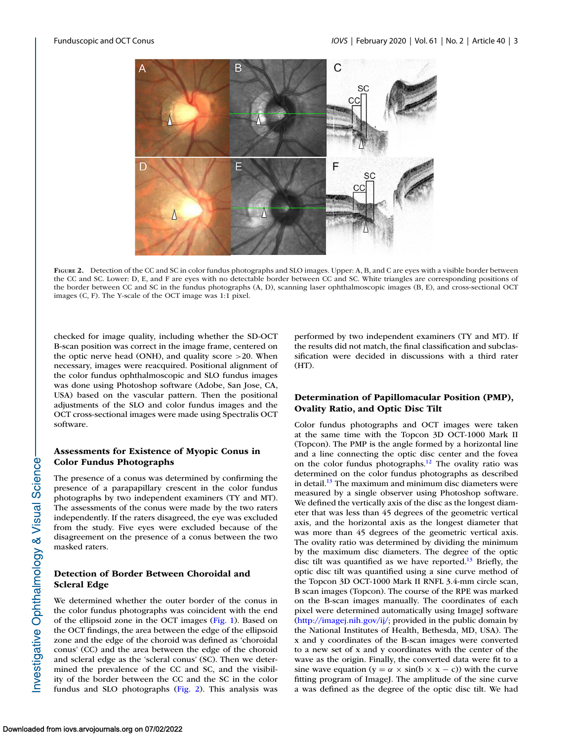<span id="page-2-0"></span>

**FIGURE 2.** Detection of the CC and SC in color fundus photographs and SLO images. Upper: A, B, and C are eyes with a visible border between the CC and SC. Lower: D, E, and F are eyes with no detectable border between CC and SC. White triangles are corresponding positions of the border between CC and SC in the fundus photographs (A, D), scanning laser ophthalmoscopic images (B, E), and cross-sectional OCT images (C, F). The Y-scale of the OCT image was 1:1 pixel.

checked for image quality, including whether the SD-OCT B-scan position was correct in the image frame, centered on the optic nerve head (ONH), and quality score >20. When necessary, images were reacquired. Positional alignment of the color fundus ophthalmoscopic and SLO fundus images was done using Photoshop software (Adobe, San Jose, CA, USA) based on the vascular pattern. Then the positional adjustments of the SLO and color fundus images and the OCT cross-sectional images were made using Spectralis OCT software.

# **Assessments for Existence of Myopic Conus in Color Fundus Photographs**

The presence of a conus was determined by confirming the presence of a parapapillary crescent in the color fundus photographs by two independent examiners (TY and MT). The assessments of the conus were made by the two raters independently. If the raters disagreed, the eye was excluded from the study. Five eyes were excluded because of the disagreement on the presence of a conus between the two masked raters.

# **Detection of Border Between Choroidal and Scleral Edge**

We determined whether the outer border of the conus in the color fundus photographs was coincident with the end of the ellipsoid zone in the OCT images [\(Fig. 1\)](#page-1-0). Based on the OCT findings, the area between the edge of the ellipsoid zone and the edge of the choroid was defined as 'choroidal conus' (CC) and the area between the edge of the choroid and scleral edge as the 'scleral conus' (SC). Then we determined the prevalence of the CC and SC, and the visibility of the border between the CC and the SC in the color fundus and SLO photographs (Fig. 2). This analysis was performed by two independent examiners (TY and MT). If the results did not match, the final classification and subclassification were decided in discussions with a third rater (HT).

# **Determination of Papillomacular Position (PMP), Ovality Ratio, and Optic Disc Tilt**

Color fundus photographs and OCT images were taken at the same time with the Topcon 3D OCT-1000 Mark II (Topcon). The PMP is the angle formed by a horizontal line and a line connecting the optic disc center and the fovea on the color fundus photographs.<sup>12</sup> The ovality ratio was determined on the color fundus photographs as described in detail. $13$  The maximum and minimum disc diameters were measured by a single observer using Photoshop software. We defined the vertically axis of the disc as the longest diameter that was less than 45 degrees of the geometric vertical axis, and the horizontal axis as the longest diameter that was more than 45 degrees of the geometric vertical axis. The ovality ratio was determined by dividing the minimum by the maximum disc diameters. The degree of the optic disc tilt was quantified as we have reported.<sup>13</sup> Briefly, the optic disc tilt was quantified using a sine curve method of the Topcon 3D OCT-1000 Mark II RNFL 3.4-mm circle scan, B scan images (Topcon). The course of the RPE was marked on the B-scan images manually. The coordinates of each pixel were determined automatically using ImageJ software [\(http://imagej.nih.gov/ij/;](http://imagej.nih.gov/ij/) provided in the public domain by the National Institutes of Health, Bethesda, MD, USA). The x and y coordinates of the B-scan images were converted to a new set of x and y coordinates with the center of the wave as the origin. Finally, the converted data were fit to a sine wave equation (y =  $\alpha \times \sin(b \times x - c)$ ) with the curve fitting program of ImageJ. The amplitude of the sine curve a was defined as the degree of the optic disc tilt. We had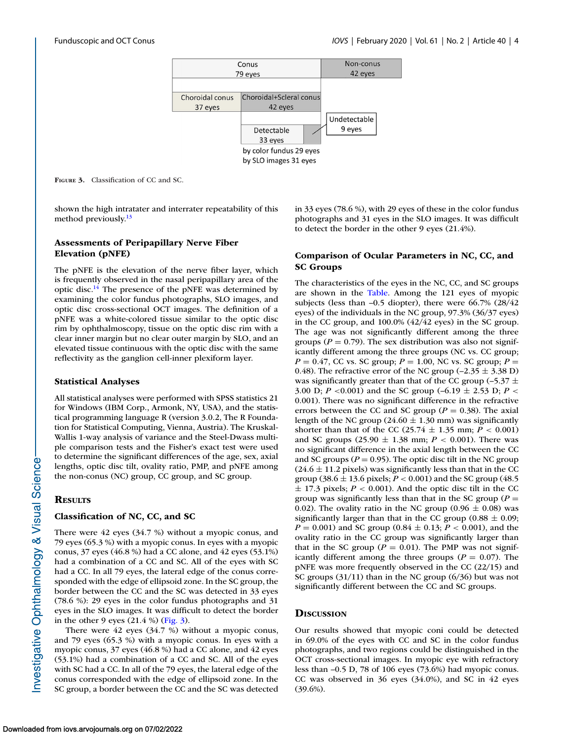

**FIGURE 3.** Classification of CC and SC.

shown the high intratater and interrater repeatability of this method previously.<sup>13</sup>

# **Assessments of Peripapillary Nerve Fiber Elevation (pNFE)**

The pNFE is the elevation of the nerve fiber layer, which is frequently observed in the nasal peripapillary area of the optic disc.<sup>14</sup> The presence of the pNFE was determined by examining the color fundus photographs, SLO images, and optic disc cross-sectional OCT images. The definition of a pNFE was a white-colored tissue similar to the optic disc rim by ophthalmoscopy, tissue on the optic disc rim with a clear inner margin but no clear outer margin by SLO, and an elevated tissue continuous with the optic disc with the same reflectivity as the ganglion cell-inner plexiform layer.

#### **Statistical Analyses**

All statistical analyses were performed with SPSS statistics 21 for Windows (IBM Corp., Armonk, NY, USA), and the statistical programming language R (version 3.0.2, The R Foundation for Statistical Computing, Vienna, Austria). The Kruskal-Wallis 1-way analysis of variance and the Steel-Dwass multiple comparison tests and the Fisher's exact test were used to determine the significant differences of the age, sex, axial lengths, optic disc tilt, ovality ratio, PMP, and pNFE among the non-conus (NC) group, CC group, and SC group.

# **RESULTS**

#### **Classification of NC, CC, and SC**

There were 42 eyes (34.7 %) without a myopic conus, and 79 eyes (65.3 %) with a myopic conus. In eyes with a myopic conus, 37 eyes (46.8 %) had a CC alone, and 42 eyes (53.1%) had a combination of a CC and SC. All of the eyes with SC had a CC. In all 79 eyes, the lateral edge of the conus corresponded with the edge of ellipsoid zone. In the SC group, the border between the CC and the SC was detected in 33 eyes (78.6 %): 29 eyes in the color fundus photographs and 31 eyes in the SLO images. It was difficult to detect the border in the other 9 eyes  $(21.4 %)$  (Fig. 3).

There were 42 eyes (34.7 %) without a myopic conus, and 79 eyes (65.3 %) with a myopic conus. In eyes with a myopic conus, 37 eyes (46.8 %) had a CC alone, and 42 eyes (53.1%) had a combination of a CC and SC. All of the eyes with SC had a CC. In all of the 79 eyes, the lateral edge of the conus corresponded with the edge of ellipsoid zone. In the SC group, a border between the CC and the SC was detected in 33 eyes (78.6 %), with 29 eyes of these in the color fundus photographs and 31 eyes in the SLO images. It was difficult to detect the border in the other 9 eyes (21.4%).

# **Comparison of Ocular Parameters in NC, CC, and SC Groups**

The characteristics of the eyes in the NC, CC, and SC groups are shown in the [Table.](#page-4-0) Among the 121 eyes of myopic subjects (less than –0.5 diopter), there were 66.7% (28/42 eyes) of the individuals in the NC group, 97.3% (36/37 eyes) in the CC group, and 100.0% (42/42 eyes) in the SC group. The age was not significantly different among the three groups ( $P = 0.79$ ). The sex distribution was also not significantly different among the three groups (NC vs. CC group;  $P = 0.47$ , CC vs. SC group;  $P = 1.00$ , NC vs. SC group;  $P =$ 0.48). The refractive error of the NC group  $(-2.35 \pm 3.38 \text{ D})$ was significantly greater than that of the CC group (-5.37  $\pm$ 3.00 D; *P* <0.001) and the SC group (–6.19 ± 2.53 D; *P* < 0.001). There was no significant difference in the refractive errors between the CC and SC group ( $P = 0.38$ ). The axial length of the NC group ( $24.60 \pm 1.30$  mm) was significantly shorter than that of the CC (25.74  $\pm$  1.35 mm; *P* < 0.001) and SC groups  $(25.90 \pm 1.38 \text{ mm}; P < 0.001)$ . There was no significant difference in the axial length between the CC and SC groups ( $P = 0.95$ ). The optic disc tilt in the NC group  $(24.6 \pm 11.2 \text{ pixels})$  was significantly less than that in the CC group (38.6  $\pm$  13.6 pixels; *P* < 0.001) and the SC group (48.5  $\pm$  17.3 pixels;  $P < 0.001$ ). And the optic disc tilt in the CC group was significantly less than that in the SC group ( $P =$ 0.02). The ovality ratio in the NC group (0.96  $\pm$  0.08) was significantly larger than that in the CC group  $(0.88 \pm 0.09)$ ; *P* = 0.001) and SC group (0.84  $\pm$  0.13; *P* < 0.001), and the ovality ratio in the CC group was significantly larger than that in the SC group ( $P = 0.01$ ). The PMP was not significantly different among the three groups  $(P = 0.07)$ . The pNFE was more frequently observed in the CC (22/15) and SC groups (31/11) than in the NC group (6/36) but was not significantly different between the CC and SC groups.

### **DISCUSSION**

Our results showed that myopic coni could be detected in 69.0% of the eyes with CC and SC in the color fundus photographs, and two regions could be distinguished in the OCT cross-sectional images. In myopic eye with refractory less than –0.5 D, 78 of 106 eyes (73.6%) had myopic conus. CC was observed in 36 eyes (34.0%), and SC in 42 eyes (39.6%).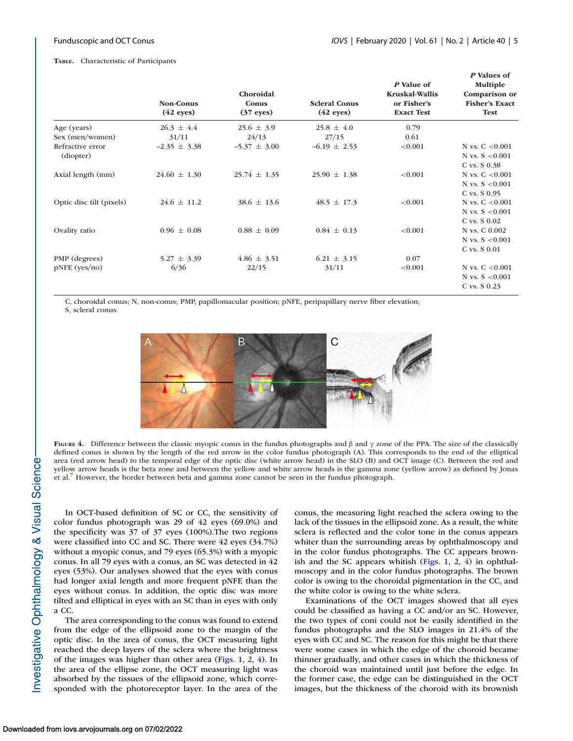#### <span id="page-4-0"></span>**TABLE.** Characteristic of Participants

|                               | <b>Non-Conus</b><br>$(42$ eyes) | Choroidal<br>Conus<br>$(37$ eyes) | <b>Scleral Conus</b><br>$(42$ eyes) | P Value of<br>Kruskal-Wallis<br>or Fisher's<br><b>Exact Test</b> | P Values of<br>Multiple<br>Comparison or<br><b>Fisher's Exact</b><br><b>Test</b> |
|-------------------------------|---------------------------------|-----------------------------------|-------------------------------------|------------------------------------------------------------------|----------------------------------------------------------------------------------|
| Age (years)                   | $26.3 \pm 4.4$                  | $25.6 \pm 3.9$                    | $25.8 \pm 4.0$                      | 0.79                                                             |                                                                                  |
| Sex (men/women)               | 31/11                           | 24/13                             | 27/15                               | 0.61                                                             |                                                                                  |
| Refractive error<br>(diopter) | $-2.35 \pm 3.38$                | $-5.37 \pm 3.00$                  | $-6.19 \pm 2.53$                    | < 0.001                                                          | N vs. $C < 0.001$<br>N vs. $S < 0.001$                                           |
|                               |                                 |                                   |                                     |                                                                  | $C$ vs. $S$ 0.38                                                                 |
| Axial length (mm)             | $24.60 \pm 1.30$                | $25.74 \pm 1.35$                  | $25.90 \pm 1.38$                    | < 0.001                                                          | N vs. $C < 0.001$                                                                |
|                               |                                 |                                   |                                     |                                                                  | N vs. $S < 0.001$                                                                |
|                               |                                 |                                   |                                     |                                                                  | C vs. S 0.95                                                                     |
| Optic disc tilt (pixels)      | $24.6 \pm 11.2$                 | $38.6 \pm 13.6$                   | $48.5 \pm 17.3$                     | < 0.001                                                          | N vs. $C < 0.001$                                                                |
|                               |                                 |                                   |                                     |                                                                  | N vs. $S < 0.001$                                                                |
|                               |                                 |                                   |                                     |                                                                  | C vs. $S$ 0.02                                                                   |
| Ovality ratio                 | $0.96 \pm 0.08$                 | $0.88 \pm 0.09$                   | $0.84 \pm 0.13$                     | < 0.001                                                          | N vs. C 0.002                                                                    |
|                               |                                 |                                   |                                     |                                                                  | N vs. $S < 0.001$                                                                |
|                               |                                 |                                   |                                     |                                                                  | C vs. S 0.01                                                                     |
| PMP (degrees)                 | $5.27 \pm 3.39$                 | $4.86 \pm 3.51$                   | $6.21 \pm 3.15$                     | 0.07                                                             |                                                                                  |
| $pNFE$ (yes/no)               | 6/36                            | 22/15                             | 31/11                               | < 0.001                                                          | N vs. $C < 0.001$                                                                |
|                               |                                 |                                   |                                     |                                                                  | N vs. $S < 0.001$                                                                |
|                               |                                 |                                   |                                     |                                                                  | C vs. S 0.23                                                                     |

C, choroidal conus; N, non-conus; PMP, papillomacular position; pNFE, peripapillary nerve fiber elevation; S, scleral conus.



**FIGURE 4.** Difference between the classic myopic conus in the fundus photographs and β and γ zone of the PPA. The size of the classically defined conus is shown by the length of the red arrow in the color fundus photograph (A). This corresponds to the end of the elliptical area (red arrow head) to the temporal edge of the optic disc (white arrow head) in the SLO (B) and OCT image (C). Between the red and yellow arrow heads is the beta zone and between the yellow and white arrow heads is the gamma zone (yellow arrow) as defined by Jonas et al[.7](#page-6-0) However, the border between beta and gamma zone cannot be seen in the fundus photograph.

In OCT-based definition of SC or CC, the sensitivity of color fundus photograph was 29 of 42 eyes (69.0%) and the specificity was 37 of 37 eyes (100%).The two regions were classified into CC and SC. There were 42 eyes (34.7%) without a myopic conus, and 79 eyes (65.3%) with a myopic conus. In all 79 eyes with a conus, an SC was detected in 42 eyes (53%). Our analyses showed that the eyes with conus had longer axial length and more frequent pNFE than the eyes without conus. In addition, the optic disc was more tilted and elliptical in eyes with an SC than in eyes with only a CC.

The area corresponding to the conus was found to extend from the edge of the ellipsoid zone to the margin of the optic disc. In the area of conus, the OCT measuring light reached the deep layers of the sclera where the brightness of the images was higher than other area [\(Figs. 1,](#page-1-0) [2,](#page-2-0) 4). In the area of the ellipse zone, the OCT measuring light was absorbed by the tissues of the ellipsoid zone, which corresponded with the photoreceptor layer. In the area of the conus, the measuring light reached the sclera owing to the lack of the tissues in the ellipsoid zone. As a result, the white sclera is reflected and the color tone in the conus appears whiter than the surrounding areas by ophthalmoscopy and in the color fundus photographs. The CC appears brownish and the SC appears whitish  $(Figs. 1, 2, 4)$  $(Figs. 1, 2, 4)$  $(Figs. 1, 2, 4)$  $(Figs. 1, 2, 4)$  in ophthalmoscopy and in the color fundus photographs. The brown color is owing to the choroidal pigmentation in the CC, and the white color is owing to the white sclera.

Examinations of the OCT images showed that all eyes could be classified as having a CC and/or an SC. However, the two types of coni could not be easily identified in the fundus photographs and the SLO images in 21.4% of the eyes with CC and SC. The reason for this might be that there were some cases in which the edge of the choroid became thinner gradually, and other cases in which the thickness of the choroid was maintained until just before the edge. In the former case, the edge can be distinguished in the OCT images, but the thickness of the choroid with its brownish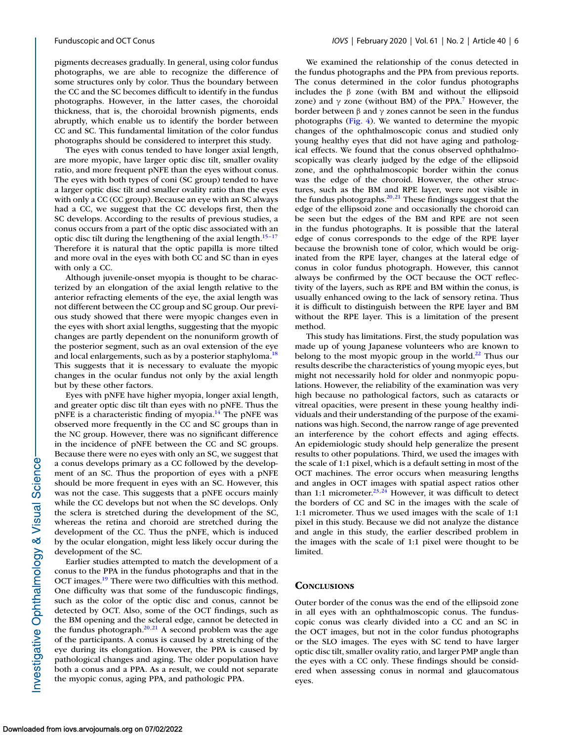pigments decreases gradually. In general, using color fundus photographs, we are able to recognize the difference of some structures only by color. Thus the boundary between the CC and the SC becomes difficult to identify in the fundus photographs. However, in the latter cases, the choroidal thickness, that is, the choroidal brownish pigments, ends abruptly, which enable us to identify the border between CC and SC. This fundamental limitation of the color fundus photographs should be considered to interpret this study.

The eyes with conus tended to have longer axial length, are more myopic, have larger optic disc tilt, smaller ovality ratio, and more frequent pNFE than the eyes without conus. The eyes with both types of coni (SC group) tended to have a larger optic disc tilt and smaller ovality ratio than the eyes with only a CC (CC group). Because an eye with an SC always had a CC, we suggest that the CC develops first, then the SC develops. According to the results of previous studies, a conus occurs from a part of the optic disc associated with an optic disc tilt during the lengthening of the axial length. $15-17$ Therefore it is natural that the optic papilla is more tilted and more oval in the eyes with both CC and SC than in eyes with only a CC.

Although juvenile-onset myopia is thought to be characterized by an elongation of the axial length relative to the anterior refracting elements of the eye, the axial length was not different between the CC group and SC group. Our previous study showed that there were myopic changes even in the eyes with short axial lengths, suggesting that the myopic changes are partly dependent on the nonuniform growth of the posterior segment, such as an oval extension of the eye and local enlargements, such as by a posterior staphyloma.<sup>18</sup> This suggests that it is necessary to evaluate the myopic changes in the ocular fundus not only by the axial length but by these other factors.

Eyes with pNFE have higher myopia, longer axial length, and greater optic disc tilt than eyes with no pNFE. Thus the pNFE is a characteristic finding of myopia.<sup>14</sup> The pNFE was observed more frequently in the CC and SC groups than in the NC group. However, there was no significant difference in the incidence of pNFE between the CC and SC groups. Because there were no eyes with only an SC, we suggest that a conus develops primary as a CC followed by the development of an SC. Thus the proportion of eyes with a pNFE should be more frequent in eyes with an SC. However, this was not the case. This suggests that a pNFE occurs mainly while the CC develops but not when the SC develops. Only the sclera is stretched during the development of the SC, whereas the retina and choroid are stretched during the development of the CC. Thus the pNFE, which is induced by the ocular elongation, might less likely occur during the development of the SC.

Earlier studies attempted to match the development of a conus to the PPA in the fundus photographs and that in the OCT images.<sup>19</sup> There were two difficulties with this method. One difficulty was that some of the funduscopic findings, such as the color of the optic disc and conus, cannot be detected by OCT. Also, some of the OCT findings, such as the BM opening and the scleral edge, cannot be detected in the fundus photograph. $20,21$  A second problem was the age of the participants. A conus is caused by a stretching of the eye during its elongation. However, the PPA is caused by pathological changes and aging. The older population have both a conus and a PPA. As a result, we could not separate the myopic conus, aging PPA, and pathologic PPA.

We examined the relationship of the conus detected in the fundus photographs and the PPA from previous reports. The conus determined in the color fundus photographs includes the β zone (with BM and without the ellipsoid zone) and  $\gamma$  zone (without BM) of the PPA.<sup>7</sup> However, the border between β and γ zones cannot be seen in the fundus photographs [\(Fig. 4\)](#page-4-0). We wanted to determine the myopic changes of the ophthalmoscopic conus and studied only young healthy eyes that did not have aging and pathological effects. We found that the conus observed ophthalmoscopically was clearly judged by the edge of the ellipsoid zone, and the ophthalmoscopic border within the conus was the edge of the choroid. However, the other structures, such as the BM and RPE layer, were not visible in the fundus photographs. $20,21$  These findings suggest that the edge of the ellipsoid zone and occasionally the choroid can be seen but the edges of the BM and RPE are not seen in the fundus photographs. It is possible that the lateral edge of conus corresponds to the edge of the RPE layer because the brownish tone of color, which would be originated from the RPE layer, changes at the lateral edge of conus in color fundus photograph. However, this cannot always be confirmed by the OCT because the OCT reflectivity of the layers, such as RPE and BM within the conus, is usually enhanced owing to the lack of sensory retina. Thus it is difficult to distinguish between the RPE layer and BM without the RPE layer. This is a limitation of the present method.

This study has limitations. First, the study population was made up of young Japanese volunteers who are known to belong to the most myopic group in the world. $^{22}$  Thus our results describe the characteristics of young myopic eyes, but might not necessarily hold for older and nonmyopic populations. However, the reliability of the examination was very high because no pathological factors, such as cataracts or vitreal opacities, were present in these young healthy individuals and their understanding of the purpose of the examinations was high. Second, the narrow range of age prevented an interference by the cohort effects and aging effects. An epidemiologic study should help generalize the present results to other populations. Third, we used the images with the scale of 1:1 pixel, which is a default setting in most of the OCT machines. The error occurs when measuring lengths and angles in OCT images with spatial aspect ratios other than 1:1 micrometer.<sup>23,24</sup> However, it was difficult to detect the borders of CC and SC in the images with the scale of 1:1 micrometer. Thus we used images with the scale of 1:1 pixel in this study. Because we did not analyze the distance and angle in this study, the earlier described problem in the images with the scale of 1:1 pixel were thought to be limited.

#### **CONCLUSIONS**

Outer border of the conus was the end of the ellipsoid zone in all eyes with an ophthalmoscopic conus. The funduscopic conus was clearly divided into a CC and an SC in the OCT images, but not in the color fundus photographs or the SLO images. The eyes with SC tend to have larger optic disc tilt, smaller ovality ratio, and larger PMP angle than the eyes with a CC only. These findings should be considered when assessing conus in normal and glaucomatous eyes.